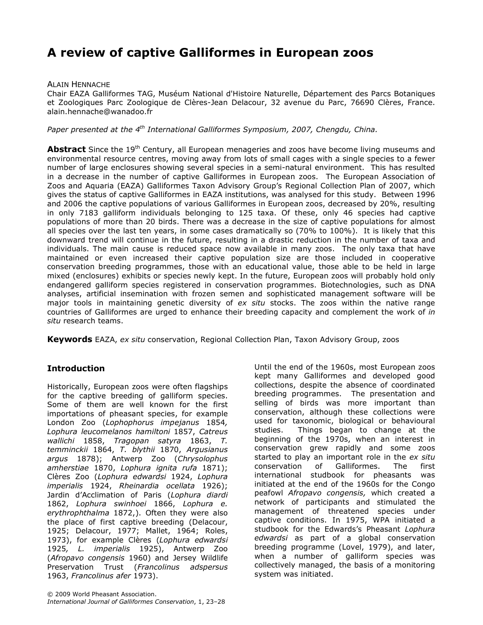# A review of captive Galliformes in European zoos

#### ALAIN HENNACHE

Chair EAZA Galliformes TAG, Muséum National d'Histoire Naturelle, Département des Parcs Botaniques et Zoologiques Parc Zoologique de Clères-Jean Delacour, 32 avenue du Parc, 76690 Clères, France. alain.hennache@wanadoo.fr

Paper presented at the  $4^{th}$  International Galliformes Symposium, 2007, Chengdu, China.

**Abstract** Since the 19<sup>th</sup> Century, all European menageries and zoos have become living museums and environmental resource centres, moving away from lots of small cages with a single species to a fewer number of large enclosures showing several species in a semi-natural environment. This has resulted in a decrease in the number of captive Galliformes in European zoos. The European Association of Zoos and Aquaria (EAZA) Galliformes Taxon Advisory Group's Regional Collection Plan of 2007, which gives the status of captive Galliformes in EAZA institutions, was analysed for this study. Between 1996 and 2006 the captive populations of various Galliformes in European zoos, decreased by 20%, resulting in only 7183 galliform individuals belonging to 125 taxa. Of these, only 46 species had captive populations of more than 20 birds. There was a decrease in the size of captive populations for almost all species over the last ten years, in some cases dramatically so (70% to 100%). It is likely that this downward trend will continue in the future, resulting in a drastic reduction in the number of taxa and individuals. The main cause is reduced space now available in many zoos. The only taxa that have maintained or even increased their captive population size are those included in cooperative conservation breeding programmes, those with an educational value, those able to be held in large mixed (enclosures) exhibits or species newly kept. In the future, European zoos will probably hold only endangered galliform species registered in conservation programmes. Biotechnologies, such as DNA analyses, artificial insemination with frozen semen and sophisticated management software will be major tools in maintaining genetic diversity of ex situ stocks. The zoos within the native range countries of Galliformes are urged to enhance their breeding capacity and complement the work of in situ research teams.

**Keywords** EAZA, ex situ conservation, Regional Collection Plan, Taxon Advisory Group, zoos

### **Introduction**

Historically, European zoos were often flagships for the captive breeding of galliform species. Some of them are well known for the first importations of pheasant species, for example London Zoo (Lophophorus impejanus 1854, Lophura leucomelanos hamiltoni 1857, Catreus wallichi 1858, Tragopan satyra 1863, T. temminckii 1864, T. blythii 1870, Argusianus argus 1878); Antwerp Zoo (Chrysolophus amherstiae 1870, Lophura ignita rufa 1871); Clères Zoo (Lophura edwardsi 1924, Lophura imperialis 1924, Rheinardia ocellata 1926); Jardin d'Acclimation of Paris (Lophura diardi 1862, Lophura swinhoei 1866, Lophura e. erythrophthalma 1872,). Often they were also the place of first captive breeding (Delacour, 1925; Delacour, 1977; Mallet, 1964; Roles, 1973), for example Clères (Lophura edwardsi 1925, L. imperialis 1925), Antwerp Zoo (Afropavo congensis 1960) and Jersey Wildlife Preservation Trust (Francolinus adspersus 1963, Francolinus afer 1973).

Until the end of the 1960s, most European zoos kept many Galliformes and developed good collections, despite the absence of coordinated breeding programmes. The presentation and selling of birds was more important than conservation, although these collections were used for taxonomic, biological or behavioural studies. Things began to change at the beginning of the 1970s, when an interest in conservation grew rapidly and some zoos started to play an important role in the ex situ conservation of Galliformes. The first international studbook for pheasants was initiated at the end of the 1960s for the Congo peafowl Afropavo congensis, which created a network of participants and stimulated the management of threatened species under captive conditions. In 1975, WPA initiated a studbook for the Edwards's Pheasant Lophura edwardsi as part of a global conservation breeding programme (Lovel, 1979), and later, when a number of galliform species was collectively managed, the basis of a monitoring system was initiated.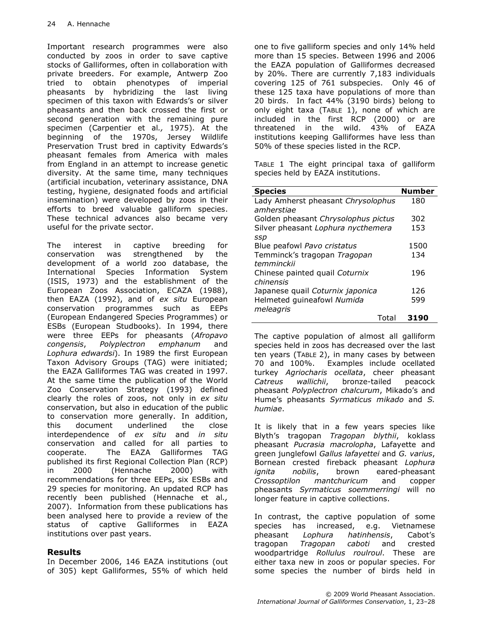Important research programmes were also conducted by zoos in order to save captive stocks of Galliformes, often in collaboration with private breeders. For example, Antwerp Zoo tried to obtain phenotypes of imperial pheasants by hybridizing the last living specimen of this taxon with Edwards's or silver pheasants and then back crossed the first or second generation with the remaining pure specimen (Carpentier et al., 1975). At the beginning of the 1970s, Jersey Wildlife Preservation Trust bred in captivity Edwards's pheasant females from America with males from England in an attempt to increase genetic diversity. At the same time, many techniques (artificial incubation, veterinary assistance, DNA testing, hygiene, designated foods and artificial insemination) were developed by zoos in their efforts to breed valuable galliform species. These technical advances also became very useful for the private sector.

The interest in captive breeding for conservation was strengthened by the development of a world zoo database, the International Species Information System (ISIS, 1973) and the establishment of the European Zoos Association, ECAZA (1988), then EAZA (1992), and of ex situ European conservation programmes such as EEPs (European Endangered Species Programmes) or ESBs (European Studbooks). In 1994, there were three EEPs for pheasants (Afropavo congensis, Polyplectron emphanum and Lophura edwardsi). In 1989 the first European Taxon Advisory Groups (TAG) were initiated; the EAZA Galliformes TAG was created in 1997. At the same time the publication of the World Zoo Conservation Strategy (1993) defined clearly the roles of zoos, not only in ex situ conservation, but also in education of the public to conservation more generally. In addition, this document underlined the close interdependence of ex situ and in situ conservation and called for all parties to cooperate. The EAZA Galliformes TAG published its first Regional Collection Plan (RCP) in 2000 (Hennache 2000) with recommendations for three EEPs, six ESBs and 29 species for monitoring. An updated RCP has recently been published (Hennache et al., 2007). Information from these publications has been analysed here to provide a review of the status of captive Galliformes in EAZA institutions over past years.

### Results

In December 2006, 146 EAZA institutions (out of 305) kept Galliformes, 55% of which held one to five galliform species and only 14% held more than 15 species. Between 1996 and 2006 the EAZA population of Galliformes decreased by 20%. There are currently 7,183 individuals covering 125 of 761 subspecies. Only 46 of these 125 taxa have populations of more than 20 birds. In fact 44% (3190 birds) belong to only eight taxa (TABLE 1), none of which are included in the first RCP (2000) or are threatened in the wild. 43% of EAZA institutions keeping Galliformes have less than 50% of these species listed in the RCP.

TABLE 1 The eight principal taxa of galliform species held by EAZA institutions.

| <b>Species</b>                      | <b>Number</b> |
|-------------------------------------|---------------|
| Lady Amherst pheasant Chrysolophus  | 180           |
| amherstiae                          |               |
| Golden pheasant Chrysolophus pictus | 302           |
| Silver pheasant Lophura nycthemera  | 153           |
| SSD                                 |               |
| Blue peafowl Pavo cristatus         | 1500          |
| Temminck's tragopan Tragopan        | 134           |
| temminckii                          |               |
| Chinese painted quail Coturnix      | 196           |
| chinensis                           |               |
| Japanese quail Coturnix japonica    | 126           |
| Helmeted quineafowl Numida          | 599           |
| meleagris                           |               |
| Total                               | 3190          |

The captive population of almost all galliform species held in zoos has decreased over the last ten years (TABLE 2), in many cases by between 70 and 100%. Examples include ocellated turkey Agriocharis ocellata, cheer pheasant Catreus wallichii, bronze-tailed peacock pheasant Polyplectron chalcurum, Mikado's and Hume's pheasants Syrmaticus mikado and S. humiae.

It is likely that in a few years species like Blyth's tragopan Tragopan blythii, koklass pheasant Pucrasia macrolopha, Lafayette and green junglefowl Gallus lafayettei and G. varius, Bornean crested fireback pheasant Lophura ignita nobilis, brown eared-pheasant Crossoptilon mantchuricum and copper pheasants Syrmaticus soemmerringi will no longer feature in captive collections.

In contrast, the captive population of some species has increased, e.g. Vietnamese pheasant Lophura hatinhensis, Cabot's tragopan Tragopan caboti and crested woodpartridge Rollulus roulroul. These are either taxa new in zoos or popular species. For some species the number of birds held in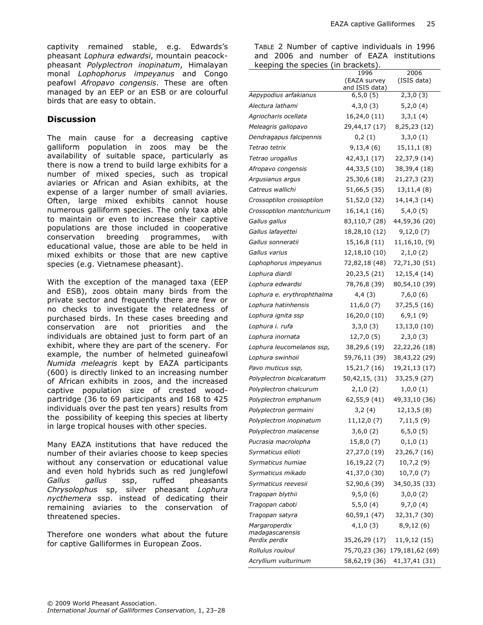captivity remained stable, e.g. Edwards's pheasant Lophura edwardsi, mountain peacockpheasant Polyplectron inopinatum, Himalayan monal Lophophorus impeyanus and Congo peafowl Afropavo congensis. These are often managed by an EEP or an ESB or are colourful birds that are easy to obtain.

#### **Discussion**

The main cause for a decreasing captive galliform population in zoos may be the availability of suitable space, particularly as there is now a trend to build large exhibits for a number of mixed species, such as tropical aviaries or African and Asian exhibits, at the expense of a larger number of small aviaries. Often, large mixed exhibits cannot house numerous galliform species. The only taxa able to maintain or even to increase their captive populations are those included in cooperative conservation breeding programmes, with educational value, those are able to be held in mixed exhibits or those that are new captive species (e.g. Vietnamese pheasant).

With the exception of the managed taxa (EEP and ESB), zoos obtain many birds from the private sector and frequently there are few or no checks to investigate the relatedness of purchased birds. In these cases breeding and conservation are not priorities and the individuals are obtained just to form part of an exhibit, where they are part of the scenery. For example, the number of helmeted guineafowl Numida meleagris kept by EAZA participants (600) is directly linked to an increasing number of African exhibits in zoos, and the increased captive population size of crested woodpartridge (36 to 69 participants and 168 to 425 individuals over the past ten years) results from the possibility of keeping this species at liberty in large tropical houses with other species.

Many EAZA institutions that have reduced the number of their aviaries choose to keep species without any conservation or educational value and even hold hybrids such as red junglefowl Gallus gallus ssp, ruffed pheasants Chrysolophus sp, silver pheasant Lophura nycthemera ssp. instead of dedicating their remaining aviaries to the conservation of threatened species.

Therefore one wonders what about the future for captive Galliformes in European Zoos.

TABLE 2 Number of captive individuals in 1996 and 2006 and number of EAZA institutions

| keeping the species              | (in brackets).                 |                               |
|----------------------------------|--------------------------------|-------------------------------|
|                                  | 1996                           | 2006                          |
|                                  | (EAZA survey<br>and ISIS data) | (ISIS data)                   |
| Aepypodius arfakianus            | 6, 5, 0(5)                     | 2,3,0(3)                      |
| Alectura lathami                 | 4,3,0(3)                       | 5,2,0(4)                      |
| Agriocharis ocellata             | 16,24,0 (11)                   | 3,3,1(4)                      |
| Meleagris gallopavo              | 29,44,17 (17)                  | 8,25,23 (12)                  |
| Dendragapus falcipennis          | 0,2(1)                         | 3,3,0(1)                      |
| Tetrao tetrix                    | 9,13,4(6)                      | 15,11,1(8)                    |
| Tetrao urogallus                 | 42,43,1 (17)                   | 22,37,9 (14)                  |
| Afropavo congensis               | 44, 33, 5 (10)                 | 38,39,4 (18)                  |
| Argusianus argus                 | 25,30,6 (18)                   | 21, 27, 3 (23)                |
| Catreus wallichi                 | 51,66,5 (35)                   | 13,11,4(8)                    |
| Crossoptilon crossoptilon        | 51,52,0 (32)                   | 14, 14, 3 (14)                |
| Crossoptilon mantchuricum        | 16, 14, 1 (16)                 | 5,4,0(5)                      |
| Gallus gallus                    | 83,110,7 (28)                  | 44,59,36 (20)                 |
| Gallus lafayettei                | 18,28,10 (12)                  | 9,12,0(7)                     |
| Gallus sonneratii                | 15,16,8 (11)                   | 11,16,10, (9)                 |
| Gallus varius                    | 12,18,10 (10)                  | 2,1,0(2)                      |
| Lophophorus impeyanus            | 72,82,18 (48)                  | 72,71,30 (51)                 |
| Lophura diardi                   | 20,23,5 (21)                   | 12, 15, 4 (14)                |
| Lophura edwardsi                 | 78,76,8 (39)                   | 80,54,10 (39)                 |
| Lophura e. erythrophthalma       | 4,4(3)                         | 7,6,0(6)                      |
| Lophura hatinhensis              | 11,6,0(7)                      | 37,25,5 (16)                  |
| Lophura ignita ssp               | 16,20,0 (10)                   | 6,9,1(9)                      |
| Lophura i. rufa                  | 3,3,0(3)                       | 13,13,0 (10)                  |
| Lophura inornata                 | 12,7,0 (5)                     | 2,3,0(3)                      |
| Lophura leucomelanos ssp,        | 38,29,6 (19)                   | 22,22,26 (18)                 |
| Lophura swinhoii                 | 59,76,11 (39)                  | 38,43,22 (29)                 |
| Pavo muticus ssp,                | 15,21,7 (16)                   | 19,21,13 (17)                 |
| Polyplectron bicalcaratum        | 50,42,15, (31)                 | 33,25,9 (27)                  |
| Polyplectron chalcurum           | 2,1,0(2)                       | 1,0,0(1)                      |
| Polyplectron emphanum            | 62,55,9 (41)                   | 49,33,10 (36)                 |
| Polyplectron germaini            | 3,2(4)                         | 12,13,5 (8)                   |
| Polyplectron inopinatum          | 11,12,0 (7)                    | 7,11,5(9)                     |
| Polyplectron malacense           | 3,6,0(2)                       | 6, 5, 0(5)                    |
| Pucrasia macrolopha              | 15,8,0(7)                      | 0,1,0(1)                      |
| Syrmaticus ellioti               | 27,27,0 (19)                   | 23,26,7 (16)                  |
| Syrmaticus humiae                | 16,19,22 (7)                   | 10,7,2 (9)                    |
| Syrmaticus mikado                | 41,37,0 (30)                   | 10,7,0 (7)                    |
| Syrmaticus reevesii              | 52,90,6 (39)                   | 34,50,35 (33)                 |
| Tragopan blythii                 | 9,5,0(6)                       | 3,0,0(2)                      |
| Tragopan caboti                  | 5,5,0(4)                       | 9,7,0(4)                      |
| Tragopan satyra                  | 60,59,1 (47)                   | 32, 31, 7 (30)                |
| Margaroperdix                    | 4,1,0(3)                       | 8,9,12(6)                     |
| madagascarensis<br>Perdix perdix | 35,26,29 (17)                  | 11,9,12 (15)                  |
| Rollulus rouloul                 |                                | 75,70,23 (36) 179,181,62 (69) |
| Acryllium vulturinum             | 58,62,19 (36)                  | 41,37,41 (31)                 |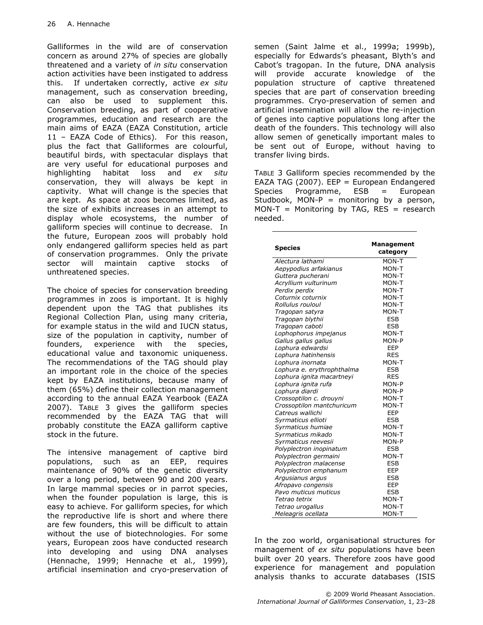Galliformes in the wild are of conservation concern as around 27% of species are globally threatened and a variety of in situ conservation action activities have been instigated to address this. If undertaken correctly, active ex situ management, such as conservation breeding, can also be used to supplement this. Conservation breeding, as part of cooperative programmes, education and research are the main aims of EAZA (EAZA Constitution, article 11 – EAZA Code of Ethics). For this reason, plus the fact that Galliformes are colourful, beautiful birds, with spectacular displays that are very useful for educational purposes and highlighting habitat loss and ex situ conservation, they will always be kept in captivity. What will change is the species that are kept. As space at zoos becomes limited, as the size of exhibits increases in an attempt to display whole ecosystems, the number of galliform species will continue to decrease. In the future, European zoos will probably hold only endangered galliform species held as part of conservation programmes. Only the private sector will maintain captive stocks of unthreatened species.

The choice of species for conservation breeding programmes in zoos is important. It is highly dependent upon the TAG that publishes its Regional Collection Plan, using many criteria, for example status in the wild and IUCN status, size of the population in captivity, number of founders, experience with the species, educational value and taxonomic uniqueness. The recommendations of the TAG should play an important role in the choice of the species kept by EAZA institutions, because many of them (65%) define their collection management according to the annual EAZA Yearbook (EAZA 2007). TABLE 3 gives the galliform species recommended by the EAZA TAG that will probably constitute the EAZA galliform captive stock in the future.

The intensive management of captive bird populations, such as an EEP, requires maintenance of 90% of the genetic diversity over a long period, between 90 and 200 years. In large mammal species or in parrot species, when the founder population is large, this is easy to achieve. For galliform species, for which the reproductive life is short and where there are few founders, this will be difficult to attain without the use of biotechnologies. For some years, European zoos have conducted research into developing and using DNA analyses (Hennache, 1999; Hennache et al., 1999), artificial insemination and cryo-preservation of semen (Saint Jalme et al., 1999a; 1999b), especially for Edwards's pheasant, Blyth's and Cabot's tragopan. In the future, DNA analysis will provide accurate knowledge of the population structure of captive threatened species that are part of conservation breeding programmes. Cryo-preservation of semen and artificial insemination will allow the re-injection of genes into captive populations long after the death of the founders. This technology will also allow semen of genetically important males to be sent out of Europe, without having to transfer living birds.

TABLE 3 Galliform species recommended by the EAZA TAG (2007). EEP = European Endangered Species Programme, ESB = European Studbook, MON-P = monitoring by a person,  $MON-T = Monitoring by TAG, RES = research$ needed.

| <b>Species</b>             | Management<br>category |
|----------------------------|------------------------|
| Alectura lathami           | MON-T                  |
| Aepypodius arfakianus      | MON-T                  |
| Guttera pucherani          | MON-T                  |
| Acryllium vulturinum       | MON-T                  |
| Perdix perdix              | MON-T                  |
| Coturnix coturnix          | MON-T                  |
| Rollulus rouloul           | MON-T                  |
| Tragopan satyra            | MON-T                  |
| Tragopan blythii           | <b>ESB</b>             |
| Tragopan caboti            | <b>ESB</b>             |
| Lophophorus impejanus      | MON-T                  |
| Gallus gallus gallus       | MON-P                  |
| Lophura edwardsi           | EEP                    |
| Lophura hatinhensis        | <b>RES</b>             |
| Lophura inornata           | MON-T                  |
| Lophura e. erythrophthalma | ESB                    |
| Lophura ignita macartneyi  | <b>RES</b>             |
| Lophura ignita rufa        | MON-P                  |
| Lophura diardi             | MON-P                  |
| Crossoptilon c. drouyni    | MON-T                  |
| Crossoptilon mantchuricum  | MON-T                  |
| Catreus wallichi           | EEP                    |
| Syrmaticus ellioti         | <b>ESB</b>             |
| Syrmaticus humiae          | MON-T                  |
| Syrmaticus mikado          | MON-T                  |
| Syrmaticus reevesii        | MON-P                  |
| Polyplectron inopinatum    | ESB                    |
| Polyplectron germaini      | MON-T                  |
| Polyplectron malacense     | <b>ESB</b>             |
| Polyplectron emphanum      | EEP                    |
| Argusianus argus           | <b>ESB</b>             |
| Afropavo congensis         | EEP                    |
| Pavo muticus muticus       | <b>ESB</b>             |
| Tetrao tetrix              | MON-T                  |
| Tetrao urogallus           | MON-T                  |
| Meleagris ocellata         | MON-T                  |

In the zoo world, organisational structures for management of ex situ populations have been built over 20 years. Therefore zoos have good experience for management and population analysis thanks to accurate databases (ISIS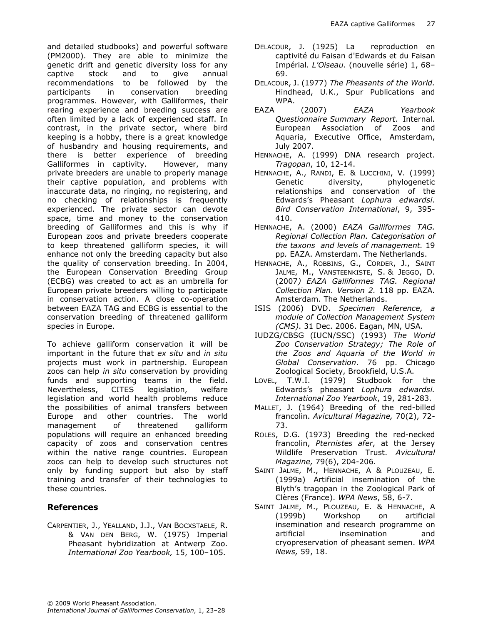and detailed studbooks) and powerful software (PM2000). They are able to minimize the genetic drift and genetic diversity loss for any captive stock and to give annual recommendations to be followed by the participants in conservation breeding programmes. However, with Galliformes, their rearing experience and breeding success are often limited by a lack of experienced staff. In contrast, in the private sector, where bird keeping is a hobby, there is a great knowledge of husbandry and housing requirements, and there is better experience of breeding Galliformes in captivity. However, many private breeders are unable to properly manage their captive population, and problems with inaccurate data, no ringing, no registering, and no checking of relationships is frequently experienced. The private sector can devote space, time and money to the conservation breeding of Galliformes and this is why if European zoos and private breeders cooperate to keep threatened galliform species, it will enhance not only the breeding capacity but also the quality of conservation breeding. In 2004, the European Conservation Breeding Group (ECBG) was created to act as an umbrella for European private breeders willing to participate in conservation action. A close co-operation between EAZA TAG and ECBG is essential to the conservation breeding of threatened galliform species in Europe.

To achieve galliform conservation it will be important in the future that ex situ and in situ projects must work in partnership. European zoos can help in situ conservation by providing funds and supporting teams in the field. Nevertheless, CITES legislation, welfare legislation and world health problems reduce the possibilities of animal transfers between Europe and other countries. The world management of threatened galliform populations will require an enhanced breeding capacity of zoos and conservation centres within the native range countries. European zoos can help to develop such structures not only by funding support but also by staff training and transfer of their technologies to these countries.

### References

CARPENTIER, J., YEALLAND, J.J., VAN BOCXSTAELE, R. & VAN DEN BERG, W. (1975) Imperial Pheasant hybridization at Antwerp Zoo. International Zoo Yearbook, 15, 100–105.

- DELACOUR, J. (1925) La reproduction en captivité du Faisan d'Edwards et du Faisan Impérial. L'Oiseau. (nouvelle série) 1, 68– 69.
- DELACOUR, J. (1977) The Pheasants of the World. Hindhead, U.K., Spur Publications and WPA.
- EAZA (2007) EAZA Yearbook Questionnaire Summary Report. Internal. European Association of Zoos and Aquaria, Executive Office, Amsterdam, July 2007.
- HENNACHE, A. (1999) DNA research project. Tragopan, 10, 12-14.
- HENNACHE, A., RANDI, E. & LUCCHINI, V. (1999) Genetic diversity, phylogenetic relationships and conservation of the Edwards's Pheasant Lophura edwardsi. Bird Conservation International, 9, 395- 410.
- HENNACHE, A. (2000) EAZA Galliformes TAG. Regional Collection Plan. Categorisation of the taxons and levels of management. 19 pp. EAZA. Amsterdam. The Netherlands.
- HENNACHE, A., ROBBINS, G., CORDER, J., SAINT JALME, M., VANSTEENKISTE, S. & JEGGO, D. (2007) EAZA Galliformes TAG. Regional Collection Plan. Version 2. 118 pp. EAZA. Amsterdam. The Netherlands.
- ISIS (2006) DVD. Specimen Reference, a module of Collection Management System (CMS). 31 Dec. 2006. Eagan, MN, USA.
- IUDZG/CBSG (IUCN/SSC) (1993) The World Zoo Conservation Strategy; The Role of the Zoos and Aquaria of the World in Global Conservation. 76 pp. Chicago Zoological Society, Brookfield, U.S.A.
- LOVEL, T.W.I. (1979) Studbook for the Edwards's pheasant Lophura edwardsi. International Zoo Yearbook, 19, 281-283.
- MALLET, J. (1964) Breeding of the red-billed francolin. Avicultural Magazine, 70(2), 72- 73.
- ROLES, D.G. (1973) Breeding the red-necked francolin, Pternistes afer, at the Jersey Wildlife Preservation Trust. Avicultural Magazine, 79(6), 204-206.
- SAINT JALME, M., HENNACHE, A & PLOUZEAU, E. (1999a) Artificial insemination of the Blyth's tragopan in the Zoological Park of Clères (France). WPA News, 58, 6-7.
- SAINT JALME, M., PLOUZEAU, E. & HENNACHE, A (1999b) Workshop on artificial insemination and research programme on artificial insemination and cryopreservation of pheasant semen. WPA News, 59, 18.